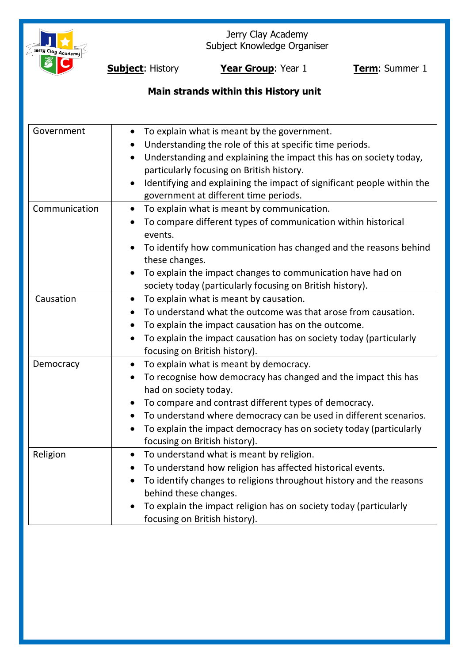

Jerry Clay Academy Subject Knowledge Organiser

**Subject**: History **Year Group**: Year 1 **Term**: Summer 1

# **Main strands within this History unit**

| Government    | To explain what is meant by the government.<br>$\bullet$                            |
|---------------|-------------------------------------------------------------------------------------|
|               | Understanding the role of this at specific time periods.                            |
|               | Understanding and explaining the impact this has on society today,<br>$\bullet$     |
|               | particularly focusing on British history.                                           |
|               | Identifying and explaining the impact of significant people within the<br>$\bullet$ |
|               | government at different time periods.                                               |
| Communication | To explain what is meant by communication.<br>$\bullet$                             |
|               | To compare different types of communication within historical<br>$\bullet$          |
|               | events.                                                                             |
|               | To identify how communication has changed and the reasons behind<br>these changes.  |
|               | To explain the impact changes to communication have had on                          |
|               | society today (particularly focusing on British history).                           |
| Causation     | To explain what is meant by causation.<br>$\bullet$                                 |
|               | To understand what the outcome was that arose from causation.                       |
|               | To explain the impact causation has on the outcome.<br>$\bullet$                    |
|               | To explain the impact causation has on society today (particularly<br>$\bullet$     |
|               | focusing on British history).                                                       |
| Democracy     | To explain what is meant by democracy.                                              |
|               | To recognise how democracy has changed and the impact this has<br>$\bullet$         |
|               | had on society today.                                                               |
|               | To compare and contrast different types of democracy.                               |
|               | To understand where democracy can be used in different scenarios.<br>$\bullet$      |
|               | To explain the impact democracy has on society today (particularly                  |
|               | focusing on British history).                                                       |
| Religion      | To understand what is meant by religion.<br>$\bullet$                               |
|               | To understand how religion has affected historical events.<br>$\bullet$             |
|               | To identify changes to religions throughout history and the reasons<br>$\bullet$    |
|               | behind these changes.                                                               |
|               | To explain the impact religion has on society today (particularly                   |
|               | focusing on British history).                                                       |